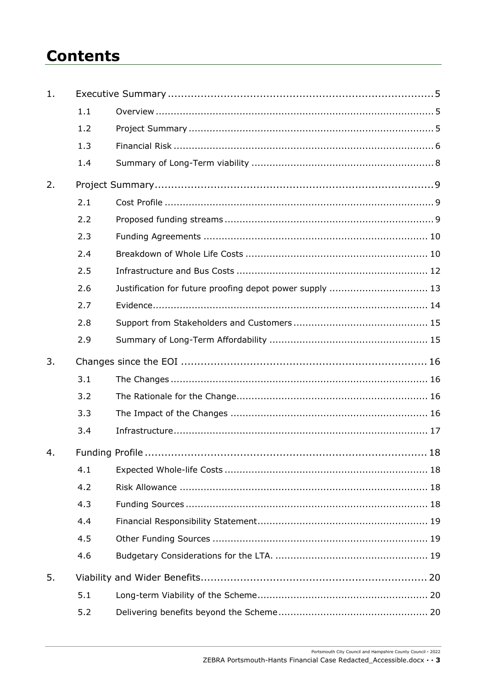# **Contents**

| 1. |     |                                                          |
|----|-----|----------------------------------------------------------|
|    | 1.1 |                                                          |
|    | 1.2 |                                                          |
|    | 1.3 |                                                          |
|    | 1.4 |                                                          |
| 2. |     |                                                          |
|    | 2.1 |                                                          |
|    | 2.2 |                                                          |
|    | 2.3 |                                                          |
|    | 2.4 |                                                          |
|    | 2.5 |                                                          |
|    | 2.6 | Justification for future proofing depot power supply  13 |
|    | 2.7 |                                                          |
|    | 2.8 |                                                          |
|    | 2.9 |                                                          |
|    |     |                                                          |
| 3. |     |                                                          |
|    | 3.1 |                                                          |
|    | 3.2 |                                                          |
|    | 3.3 |                                                          |
|    | 3.4 |                                                          |
| 4. |     |                                                          |
|    | 4.1 |                                                          |
|    | 4.2 |                                                          |
|    | 4.3 |                                                          |
|    | 4.4 |                                                          |
|    | 4.5 |                                                          |
|    | 4.6 |                                                          |
| 5. |     |                                                          |
|    | 5.1 |                                                          |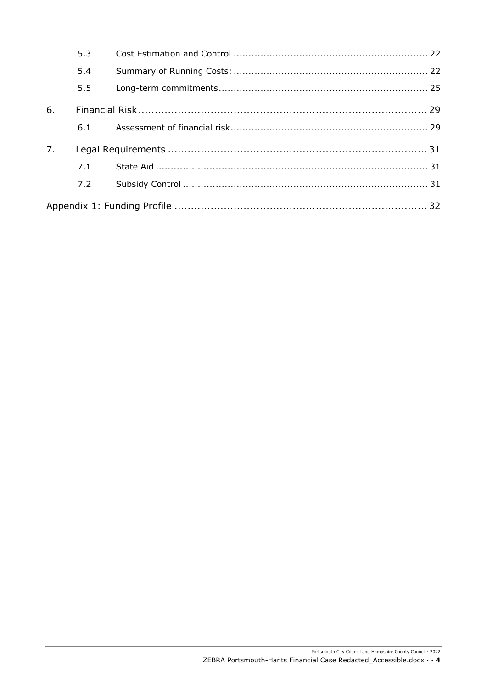|    | 5.3 |  |
|----|-----|--|
|    | 5.4 |  |
|    | 5.5 |  |
| 6. |     |  |
|    | 6.1 |  |
| 7. |     |  |
|    | 7.1 |  |
|    | 7.2 |  |
|    |     |  |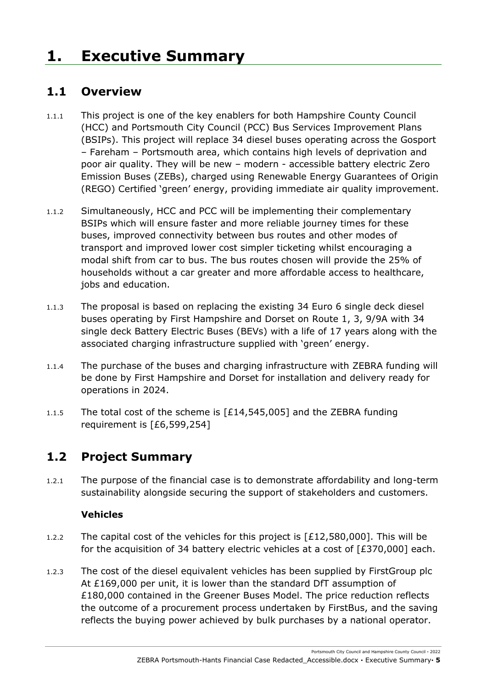# <span id="page-4-1"></span><span id="page-4-0"></span>**1. Executive Summary**

## **1.1 Overview**

- 1.1.1 This project is one of the key enablers for both Hampshire County Council (HCC) and Portsmouth City Council (PCC) Bus Services Improvement Plans (BSIPs). This project will replace 34 diesel buses operating across the Gosport – Fareham – Portsmouth area, which contains high levels of deprivation and poor air quality. They will be new – modern - accessible battery electric Zero Emission Buses (ZEBs), charged using Renewable Energy Guarantees of Origin (REGO) Certified 'green' energy, providing immediate air quality improvement.
- 1.1.2 Simultaneously, HCC and PCC will be implementing their complementary BSIPs which will ensure faster and more reliable journey times for these buses, improved connectivity between bus routes and other modes of transport and improved lower cost simpler ticketing whilst encouraging a modal shift from car to bus. The bus routes chosen will provide the 25% of households without a car greater and more affordable access to healthcare, jobs and education.
- 1.1.3 The proposal is based on replacing the existing 34 Euro 6 single deck diesel buses operating by First Hampshire and Dorset on Route 1, 3, 9/9A with 34 single deck Battery Electric Buses (BEVs) with a life of 17 years along with the associated charging infrastructure supplied with 'green' energy.
- 1.1.4 The purchase of the buses and charging infrastructure with ZEBRA funding will be done by First Hampshire and Dorset for installation and delivery ready for operations in 2024.
- 1.1.5 The total cost of the scheme is [£14,545,005] and the ZEBRA funding requirement is [£6,599,254]

# <span id="page-4-2"></span>**1.2 Project Summary**

1.2.1 The purpose of the financial case is to demonstrate affordability and long-term sustainability alongside securing the support of stakeholders and customers.

#### **Vehicles**

- 1.2.2 The capital cost of the vehicles for this project is  $[£12,580,000]$ . This will be for the acquisition of 34 battery electric vehicles at a cost of [£370,000] each.
- 1.2.3 The cost of the diesel equivalent vehicles has been supplied by FirstGroup plc At £169,000 per unit, it is lower than the standard DfT assumption of £180,000 contained in the Greener Buses Model. The price reduction reflects the outcome of a procurement process undertaken by FirstBus, and the saving reflects the buying power achieved by bulk purchases by a national operator.

Portsmouth City Council and Hampshire County Council **·** 2022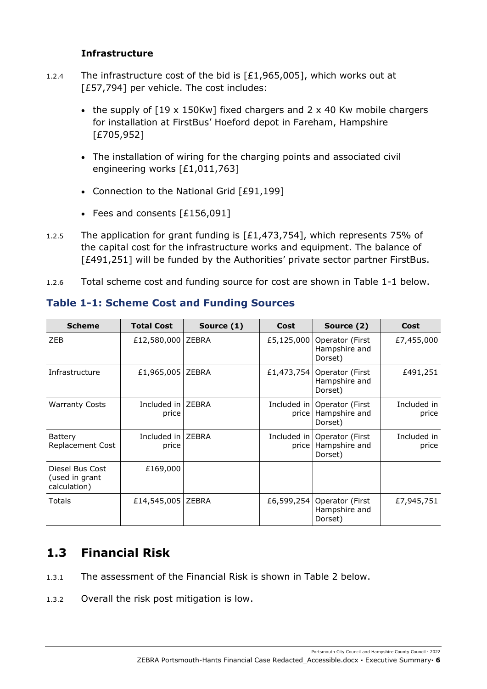#### **Infrastructure**

- 1.2.4 The infrastructure cost of the bid is  $[£1,965,005]$ , which works out at [£57,794] per vehicle. The cost includes:
	- the supply of [19 x 150Kw] fixed chargers and 2 x 40 Kw mobile chargers for installation at FirstBus' Hoeford depot in Fareham, Hampshire [£705,952]
	- The installation of wiring for the charging points and associated civil engineering works [£1,011,763]
	- Connection to the National Grid [£91,199]
	- Fees and consents [£156,091]
- 1.2.5 The application for grant funding is [£1,473,754], which represents 75% of the capital cost for the infrastructure works and equipment. The balance of [£491,251] will be funded by the Authorities' private sector partner FirstBus.
- 1.2.6 Total scheme cost and funding source for cost are shown in Table 1-1 below.

| <b>Scheme</b>                                     | <b>Total Cost</b>            | Source (1)   | Cost       | Source (2)                                                 | Cost                 |
|---------------------------------------------------|------------------------------|--------------|------------|------------------------------------------------------------|----------------------|
| ZEB                                               | £12,580,000 ZEBRA            |              | £5,125,000 | Operator (First<br>Hampshire and<br>Dorset)                | £7,455,000           |
| Infrastructure                                    | £1,965,005                   | <b>ZEBRA</b> | £1,473,754 | Operator (First<br>Hampshire and<br>Dorset)                | £491,251             |
| <b>Warranty Costs</b>                             | Included in   ZEBRA<br>price |              | price      | Included in   Operator (First)<br>Hampshire and<br>Dorset) | Included in<br>price |
| <b>Battery</b><br>Replacement Cost                | Included in   ZEBRA<br>price |              | price      | Included in   Operator (First)<br>Hampshire and<br>Dorset) | Included in<br>price |
| Diesel Bus Cost<br>(used in grant<br>calculation) | £169,000                     |              |            |                                                            |                      |
| Totals                                            | £14,545,005                  | <b>ZEBRA</b> | £6,599,254 | Operator (First<br>Hampshire and<br>Dorset)                | £7,945,751           |

#### **Table 1-1: Scheme Cost and Funding Sources**

## <span id="page-5-0"></span>**1.3 Financial Risk**

- 1.3.1 The assessment of the Financial Risk is shown in Table 2 below.
- 1.3.2 Overall the risk post mitigation is low.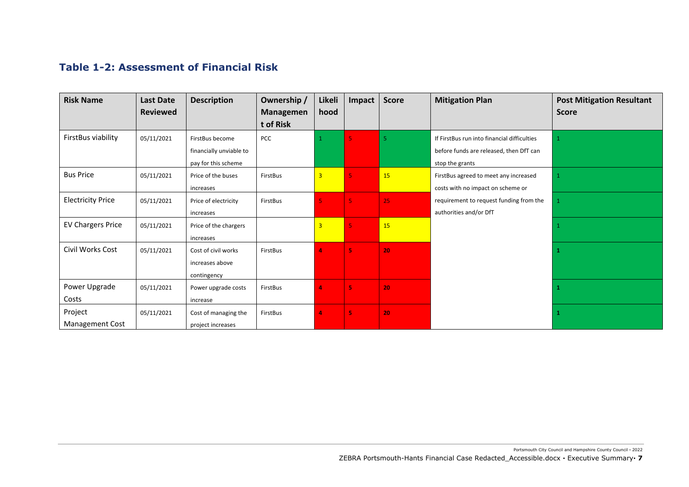#### **Table 1-2: Assessment of Financial Risk**

| <b>Risk Name</b>                  | <b>Last Date</b> | <b>Description</b>                                                | Ownership /                   | Likeli                  | Impact                  | <b>Score</b> | <b>Mitigation Plan</b>                                                                                    | <b>Post Mitigation Resultant</b> |
|-----------------------------------|------------------|-------------------------------------------------------------------|-------------------------------|-------------------------|-------------------------|--------------|-----------------------------------------------------------------------------------------------------------|----------------------------------|
|                                   | <b>Reviewed</b>  |                                                                   | <b>Managemen</b><br>t of Risk | hood                    |                         |              |                                                                                                           | <b>Score</b>                     |
| FirstBus viability                | 05/11/2021       | FirstBus become<br>financially unviable to<br>pay for this scheme | PCC                           |                         | $\overline{\mathbf{5}}$ | 5.           | If FirstBus run into financial difficulties<br>before funds are released, then DfT can<br>stop the grants |                                  |
| <b>Bus Price</b>                  | 05/11/2021       | Price of the buses<br>increases                                   | FirstBus                      | $\overline{3}$          | 5                       | 15           | FirstBus agreed to meet any increased<br>costs with no impact on scheme or                                |                                  |
| <b>Electricity Price</b>          | 05/11/2021       | Price of electricity<br>increases                                 | FirstBus                      |                         | $\overline{5}$          | 25           | requirement to request funding from the<br>authorities and/or DfT                                         |                                  |
| <b>EV Chargers Price</b>          | 05/11/2021       | Price of the chargers<br>increases                                |                               | $\overline{\mathbf{3}}$ | $\overline{5}$          | 15           |                                                                                                           |                                  |
| Civil Works Cost                  | 05/11/2021       | Cost of civil works<br>increases above<br>contingency             | FirstBus                      | 4                       | 5                       | 20           |                                                                                                           |                                  |
| Power Upgrade<br>Costs            | 05/11/2021       | Power upgrade costs<br>increase                                   | FirstBus                      | 4                       | 5                       | 20           |                                                                                                           | 1                                |
| Project<br><b>Management Cost</b> | 05/11/2021       | Cost of managing the<br>project increases                         | FirstBus                      | 4                       | 5                       | 20           |                                                                                                           | 1                                |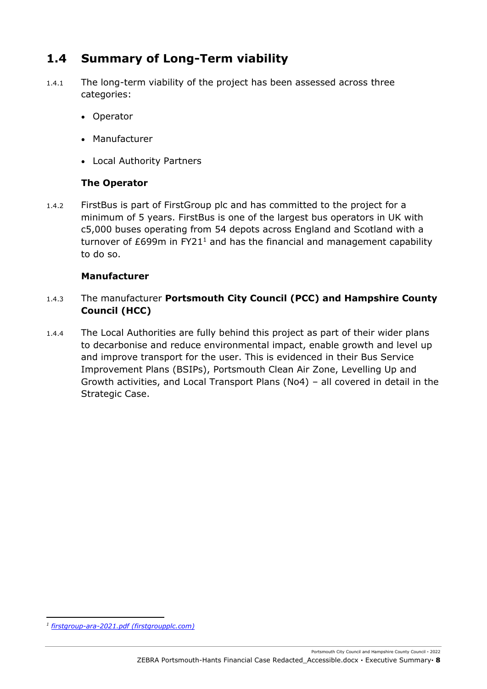# <span id="page-7-0"></span>**1.4 Summary of Long-Term viability**

- 1.4.1 The long-term viability of the project has been assessed across three categories:
	- Operator
	- Manufacturer
	- Local Authority Partners

#### **The Operator**

1.4.2 FirstBus is part of FirstGroup plc and has committed to the project for a minimum of 5 years. FirstBus is one of the largest bus operators in UK with c5,000 buses operating from 54 depots across England and Scotland with a turnover of  $E699m$  in FY21<sup>1</sup> and has the financial and management capability to do so.

#### **Manufacturer**

#### 1.4.3 The manufacturer **Portsmouth City Council (PCC) and Hampshire County Council (HCC)**

1.4.4 The Local Authorities are fully behind this project as part of their wider plans to decarbonise and reduce environmental impact, enable growth and level up and improve transport for the user. This is evidenced in their Bus Service Improvement Plans (BSIPs), Portsmouth Clean Air Zone, Levelling Up and Growth activities, and Local Transport Plans (No4) – all covered in detail in the Strategic Case.

*<sup>1</sup> [firstgroup-ara-2021.pdf \(firstgroupplc.com\)](https://www.firstgroupplc.com/~/media/Files/F/Firstgroup-Plc/reports-and-presentations/reports/firstgroup-ara-2021.pdf)*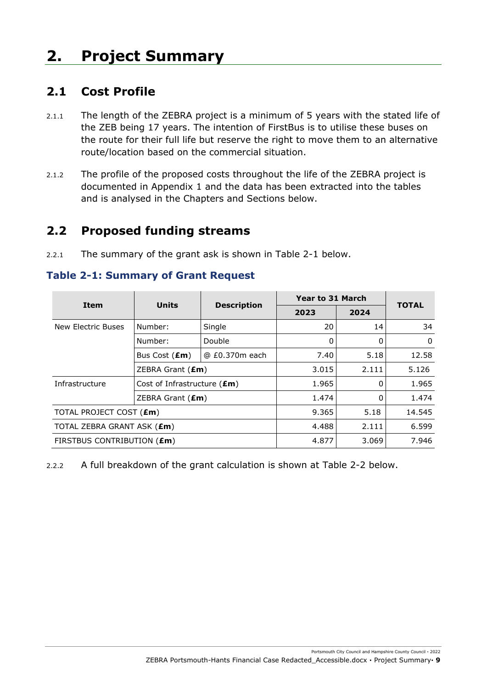# <span id="page-8-1"></span><span id="page-8-0"></span>**2. Project Summary**

## **2.1 Cost Profile**

- 2.1.1 The length of the ZEBRA project is a minimum of 5 years with the stated life of the ZEB being 17 years. The intention of FirstBus is to utilise these buses on the route for their full life but reserve the right to move them to an alternative route/location based on the commercial situation.
- 2.1.2 The profile of the proposed costs throughout the life of the ZEBRA project is documented in Appendix 1 and the data has been extracted into the tables and is analysed in the Chapters and Sections below.

## <span id="page-8-2"></span>**2.2 Proposed funding streams**

2.2.1 The summary of the grant ask is shown in [Table 2-1](#page-8-3) below.

<span id="page-8-3"></span>**Table 2-1: Summary of Grant Request** 

| <b>Item</b>                    | <b>Units</b>                         |                    | <b>Year to 31 March</b> | <b>TOTAL</b> |              |
|--------------------------------|--------------------------------------|--------------------|-------------------------|--------------|--------------|
|                                |                                      | <b>Description</b> | 2023                    | 2024         |              |
| New Electric Buses             | Number:                              | Single             | 20                      | 14           | 34           |
|                                | Number:                              | Double             | 0                       | 0            | $\mathbf{0}$ |
|                                | Bus Cost (£m)                        | @ £0.370m each     | 7.40                    | 5.18         | 12.58        |
|                                | ZEBRA Grant $(\text{Em})$            |                    | 3.015                   | 2.111        | 5.126        |
| Infrastructure                 | Cost of Infrastructure $(\text{Em})$ |                    | 1.965                   | 0            | 1.965        |
|                                | ZEBRA Grant $(\text{Em})$            |                    | 1.474                   | 0            | 1.474        |
| TOTAL PROJECT COST (£m)        |                                      | 9.365              | 5.18                    | 14.545       |              |
| TOTAL ZEBRA GRANT ASK (£m)     |                                      | 4.488              | 2.111                   | 6.599        |              |
| FIRSTBUS CONTRIBUTION ( $Em$ ) |                                      | 4.877              | 3.069                   | 7.946        |              |

2.2.2 A full breakdown of the grant calculation is shown at Table 2-2 below.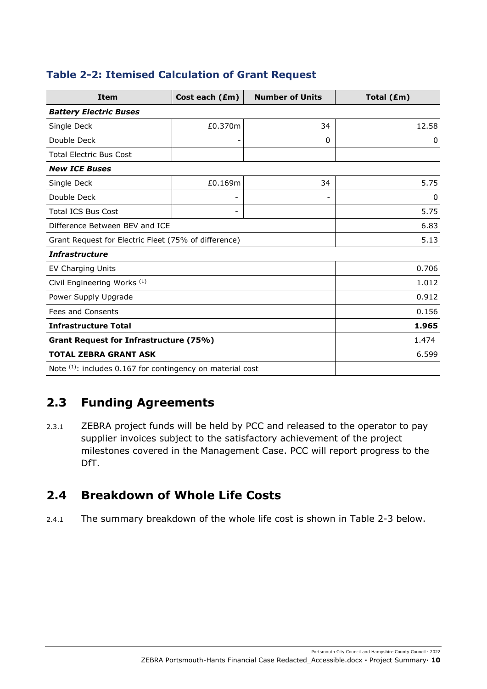| <b>Item</b>                                               | Cost each (£m)           | <b>Number of Units</b> | Total (£m) |
|-----------------------------------------------------------|--------------------------|------------------------|------------|
| <b>Battery Electric Buses</b>                             |                          |                        |            |
| Single Deck                                               | £0.370m                  | 34                     | 12.58      |
| Double Deck                                               | ۰                        | $\Omega$               | 0          |
| <b>Total Electric Bus Cost</b>                            |                          |                        |            |
| <b>New ICE Buses</b>                                      |                          |                        |            |
| Single Deck                                               | £0.169m                  | 34                     | 5.75       |
| Double Deck                                               | $\overline{\phantom{0}}$ |                        | 0          |
| <b>Total ICS Bus Cost</b>                                 | $\qquad \qquad -$        |                        | 5.75       |
| Difference Between BEV and ICE                            |                          |                        | 6.83       |
| Grant Request for Electric Fleet (75% of difference)      |                          |                        | 5.13       |
| <b>Infrastructure</b>                                     |                          |                        |            |
| <b>EV Charging Units</b>                                  |                          |                        | 0.706      |
| Civil Engineering Works <sup>(1)</sup>                    |                          |                        | 1.012      |
| Power Supply Upgrade                                      |                          |                        | 0.912      |
| <b>Fees and Consents</b>                                  |                          |                        | 0.156      |
| <b>Infrastructure Total</b>                               | 1.965                    |                        |            |
| Grant Request for Infrastructure (75%)                    | 1.474                    |                        |            |
| <b>TOTAL ZEBRA GRANT ASK</b>                              |                          |                        | 6.599      |
| Note (1): includes 0.167 for contingency on material cost |                          |                        |            |

### **Table 2-2: Itemised Calculation of Grant Request**

# <span id="page-9-0"></span>**2.3 Funding Agreements**

2.3.1 ZEBRA project funds will be held by PCC and released to the operator to pay supplier invoices subject to the satisfactory achievement of the project milestones covered in the Management Case. PCC will report progress to the DfT.

# <span id="page-9-1"></span>**2.4 Breakdown of Whole Life Costs**

2.4.1 The summary breakdown of the whole life cost is shown in Table 2-3 below.

Portsmouth City Council and Hampshire County Council **·** 2022 ZEBRA Portsmouth-Hants Financial Case Redacted\_Accessible.docx **·** Project Summary**· 10**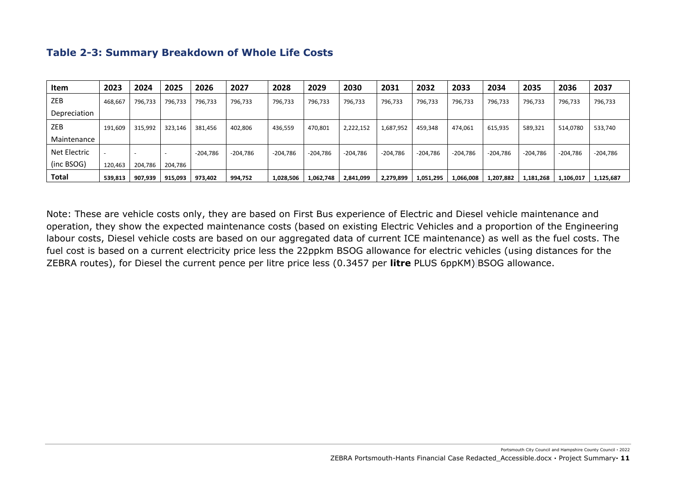| <b>Item</b>  | 2023    | 2024                     | 2025    | 2026       | 2027       | 2028       | 2029       | 2030       | 2031       | 2032       | 2033       | 2034       | 2035       | 2036       | 2037       |
|--------------|---------|--------------------------|---------|------------|------------|------------|------------|------------|------------|------------|------------|------------|------------|------------|------------|
| ZEB          | 468,667 | 796,733                  | 796,733 | 796,733    | 796,733    | 796,733    | 796,733    | 796,733    | 796,733    | 796,733    | 796,733    | 796,733    | 796,733    | 796,733    | 796,733    |
| Depreciation |         |                          |         |            |            |            |            |            |            |            |            |            |            |            |            |
| ZEB          | 191,609 | 315,992                  | 323,146 | 381,456    | 402,806    | 436,559    | 470,801    | 2,222,152  | 1,687,952  | 459,348    | 474,061    | 615,935    | 589,321    | 514,0780   | 533,740    |
| Maintenance  |         |                          |         |            |            |            |            |            |            |            |            |            |            |            |            |
| Net Electric |         | $\overline{\phantom{a}}$ |         | $-204,786$ | $-204,786$ | $-204,786$ | $-204.786$ | $-204,786$ | $-204,786$ | $-204,786$ | $-204,786$ | $-204,786$ | $-204,786$ | $-204,786$ | $-204,786$ |
| (inc BSOG)   | 120,463 | 204,786                  | 204,786 |            |            |            |            |            |            |            |            |            |            |            |            |
| <b>Total</b> | 539,813 | 907,939                  | 915,093 | 973,402    | 994,752    | 1,028,506  | 1,062,748  | 2,841,099  | 2,279,899  | 1,051,295  | 1,066,008  | 1,207,882  | 1,181,268  | 1,106,017  | 1,125,687  |

#### **Table 2-3: Summary Breakdown of Whole Life Costs**

Note: These are vehicle costs only, they are based on First Bus experience of Electric and Diesel vehicle maintenance and operation, they show the expected maintenance costs (based on existing Electric Vehicles and a proportion of the Engineering labour costs, Diesel vehicle costs are based on our aggregated data of current ICE maintenance) as well as the fuel costs. The fuel cost is based on a current electricity price less the 22ppkm BSOG allowance for electric vehicles (using distances for the ZEBRA routes), for Diesel the current pence per litre price less (0.3457 per **litre** PLUS 6ppKM) BSOG allowance.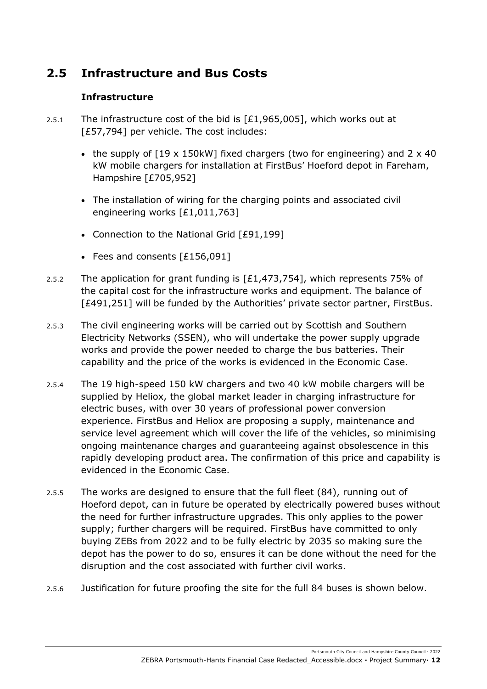# <span id="page-11-0"></span>**2.5 Infrastructure and Bus Costs**

#### **Infrastructure**

- 2.5.1 The infrastructure cost of the bid is  $[£1,965,005]$ , which works out at [£57,794] per vehicle. The cost includes:
	- the supply of [19 x 150kW] fixed chargers (two for engineering) and 2 x 40 kW mobile chargers for installation at FirstBus' Hoeford depot in Fareham, Hampshire [£705,952]
	- The installation of wiring for the charging points and associated civil engineering works [£1,011,763]
	- Connection to the National Grid [£91,199]
	- Fees and consents [£156,091]
- 2.5.2 The application for grant funding is [£1,473,754], which represents 75% of the capital cost for the infrastructure works and equipment. The balance of [£491,251] will be funded by the Authorities' private sector partner, FirstBus.
- 2.5.3 The civil engineering works will be carried out by Scottish and Southern Electricity Networks (SSEN), who will undertake the power supply upgrade works and provide the power needed to charge the bus batteries. Their capability and the price of the works is evidenced in the Economic Case.
- 2.5.4 The 19 high-speed 150 kW chargers and two 40 kW mobile chargers will be supplied by Heliox, the global market leader in charging infrastructure for electric buses, with over 30 years of professional power conversion experience. FirstBus and Heliox are proposing a supply, maintenance and service level agreement which will cover the life of the vehicles, so minimising ongoing maintenance charges and guaranteeing against obsolescence in this rapidly developing product area. The confirmation of this price and capability is evidenced in the Economic Case.
- 2.5.5 The works are designed to ensure that the full fleet (84), running out of Hoeford depot, can in future be operated by electrically powered buses without the need for further infrastructure upgrades. This only applies to the power supply; further chargers will be required. FirstBus have committed to only buying ZEBs from 2022 and to be fully electric by 2035 so making sure the depot has the power to do so, ensures it can be done without the need for the disruption and the cost associated with further civil works.
- 2.5.6 Justification for future proofing the site for the full 84 buses is shown below.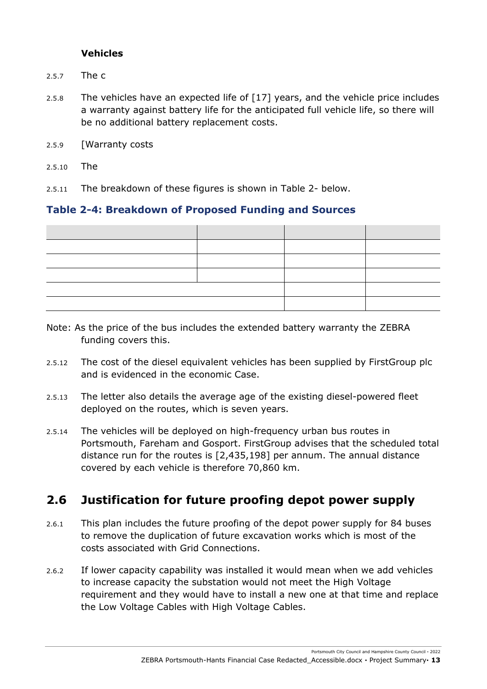#### **Vehicles**

- 2.5.7 The c
- 2.5.8 The vehicles have an expected life of [17] years, and the vehicle price includes a warranty against battery life for the anticipated full vehicle life, so there will be no additional battery replacement costs.
- 2.5.9 [Warranty costs
- 2.5.10 The

2.5.11 The breakdown of these figures is shown in [Table 2-](#page-12-1) below.

#### <span id="page-12-1"></span>**Table 2-4: Breakdown of Proposed Funding and Sources**

- Note: As the price of the bus includes the extended battery warranty the ZEBRA funding covers this.
- 2.5.12 The cost of the diesel equivalent vehicles has been supplied by FirstGroup plc and is evidenced in the economic Case.
- 2.5.13 The letter also details the average age of the existing diesel-powered fleet deployed on the routes, which is seven years.
- 2.5.14 The vehicles will be deployed on high-frequency urban bus routes in Portsmouth, Fareham and Gosport. FirstGroup advises that the scheduled total distance run for the routes is [2,435,198] per annum. The annual distance covered by each vehicle is therefore 70,860 km.

## <span id="page-12-0"></span>**2.6 Justification for future proofing depot power supply**

- 2.6.1 This plan includes the future proofing of the depot power supply for 84 buses to remove the duplication of future excavation works which is most of the costs associated with Grid Connections.
- 2.6.2 If lower capacity capability was installed it would mean when we add vehicles to increase capacity the substation would not meet the High Voltage requirement and they would have to install a new one at that time and replace the Low Voltage Cables with High Voltage Cables.

Portsmouth City Council and Hampshire County Council **·** 2022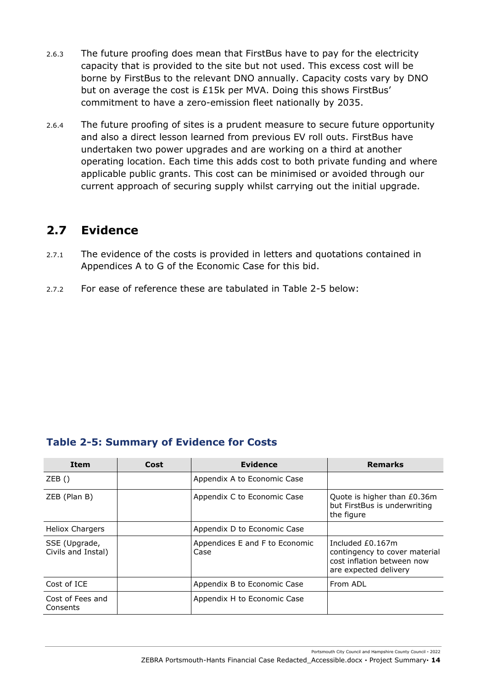- 2.6.3 The future proofing does mean that FirstBus have to pay for the electricity capacity that is provided to the site but not used. This excess cost will be borne by FirstBus to the relevant DNO annually. Capacity costs vary by DNO but on average the cost is £15k per MVA. Doing this shows FirstBus' commitment to have a zero-emission fleet nationally by 2035.
- 2.6.4 The future proofing of sites is a prudent measure to secure future opportunity and also a direct lesson learned from previous EV roll outs. FirstBus have undertaken two power upgrades and are working on a third at another operating location. Each time this adds cost to both private funding and where applicable public grants. This cost can be minimised or avoided through our current approach of securing supply whilst carrying out the initial upgrade.

# <span id="page-13-0"></span>**2.7 Evidence**

- 2.7.1 The evidence of the costs is provided in letters and quotations contained in Appendices A to G of the Economic Case for this bid.
- 2.7.2 For ease of reference these are tabulated in Table 2-5 below:

#### **Table 2-5: Summary of Evidence for Costs**

| <b>Item</b>                         | Cost | <b>Evidence</b>                        | <b>Remarks</b>                                                                                           |
|-------------------------------------|------|----------------------------------------|----------------------------------------------------------------------------------------------------------|
| ZEB()                               |      | Appendix A to Economic Case            |                                                                                                          |
| ZEB (Plan B)                        |      | Appendix C to Economic Case            | Quote is higher than £0.36m<br>but FirstBus is underwriting<br>the figure                                |
| <b>Heliox Chargers</b>              |      | Appendix D to Economic Case            |                                                                                                          |
| SSE (Upgrade,<br>Civils and Instal) |      | Appendices E and F to Economic<br>Case | Included £0.167m<br>contingency to cover material<br>cost inflation between now<br>are expected delivery |
| Cost of ICE                         |      | Appendix B to Economic Case            | From ADL                                                                                                 |
| Cost of Fees and<br>Consents        |      | Appendix H to Economic Case            |                                                                                                          |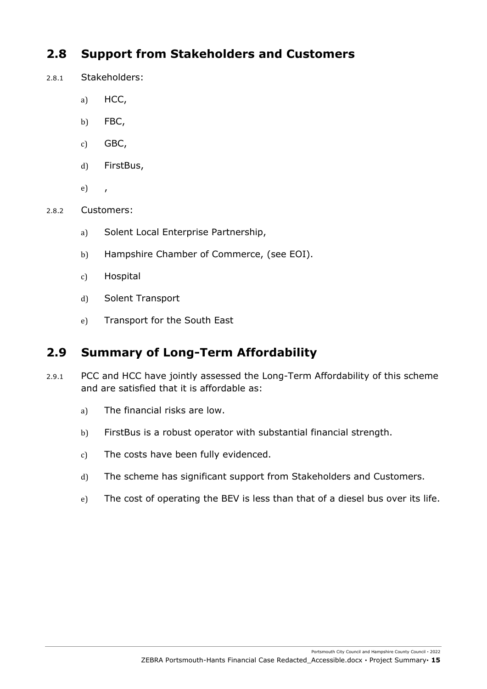# <span id="page-14-0"></span>**2.8 Support from Stakeholders and Customers**

- 2.8.1 Stakeholders:
	- a) HCC,
	- b) FBC,
	- c) GBC,
	- d) FirstBus,
	- e) ,
- 2.8.2 Customers:
	- a) Solent Local Enterprise Partnership,
	- b) Hampshire Chamber of Commerce, (see EOI).
	- c) Hospital
	- d) Solent Transport
	- e) Transport for the South East

## <span id="page-14-1"></span>**2.9 Summary of Long-Term Affordability**

- 2.9.1 PCC and HCC have jointly assessed the Long-Term Affordability of this scheme and are satisfied that it is affordable as:
	- a) The financial risks are low.
	- b) FirstBus is a robust operator with substantial financial strength.
	- c) The costs have been fully evidenced.
	- d) The scheme has significant support from Stakeholders and Customers.
	- e) The cost of operating the BEV is less than that of a diesel bus over its life.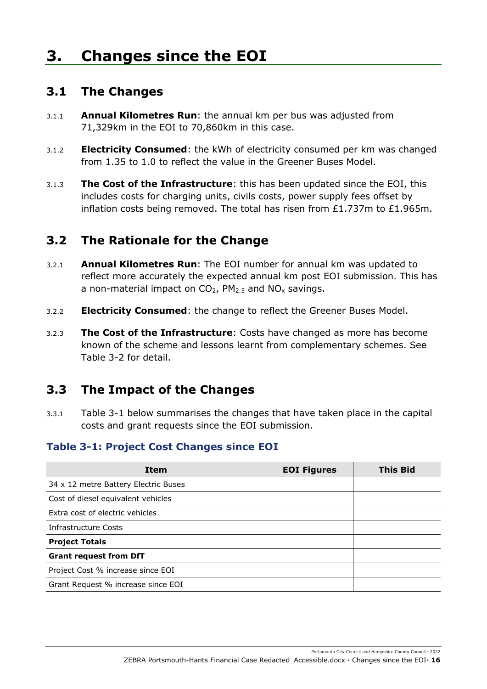# <span id="page-15-1"></span><span id="page-15-0"></span>**3. Changes since the EOI**

### **3.1 The Changes**

- 3.1.1 **Annual Kilometres Run**: the annual km per bus was adjusted from 71,329km in the EOI to 70,860km in this case.
- 3.1.2 **Electricity Consumed**: the kWh of electricity consumed per km was changed from 1.35 to 1.0 to reflect the value in the Greener Buses Model.
- 3.1.3 **The Cost of the Infrastructure**: this has been updated since the EOI, this includes costs for charging units, civils costs, power supply fees offset by inflation costs being removed. The total has risen from £1.737m to £1.965m.

# <span id="page-15-2"></span>**3.2 The Rationale for the Change**

- 3.2.1 **Annual Kilometres Run**: The EOI number for annual km was updated to reflect more accurately the expected annual km post EOI submission. This has a non-material impact on  $CO<sub>2</sub>$ , PM<sub>2.5</sub> and NO<sub>x</sub> savings.
- 3.2.2 **Electricity Consumed**: the change to reflect the Greener Buses Model.
- 3.2.3 **The Cost of the Infrastructure**: Costs have changed as more has become known of the scheme and lessons learnt from complementary schemes. See Table 3-2 for detail.

## <span id="page-15-3"></span>**3.3 The Impact of the Changes**

3.3.1 [Table 3-1](#page-15-4) below summarises the changes that have taken place in the capital costs and grant requests since the EOI submission.

#### <span id="page-15-4"></span>**Table 3-1: Project Cost Changes since EOI**

| <b>Item</b>                          | <b>EOI Figures</b> | <b>This Bid</b> |
|--------------------------------------|--------------------|-----------------|
| 34 x 12 metre Battery Electric Buses |                    |                 |
| Cost of diesel equivalent vehicles   |                    |                 |
| Extra cost of electric vehicles      |                    |                 |
| Infrastructure Costs                 |                    |                 |
| <b>Project Totals</b>                |                    |                 |
| <b>Grant request from DfT</b>        |                    |                 |
| Project Cost % increase since EOI    |                    |                 |
| Grant Request % increase since EOI   |                    |                 |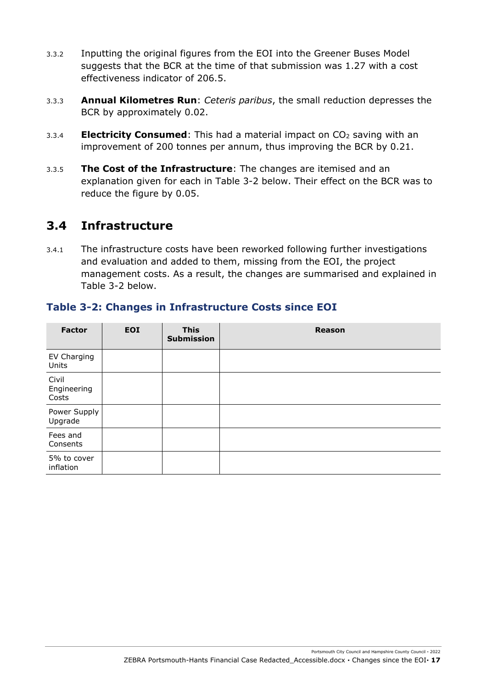- 3.3.2 Inputting the original figures from the EOI into the Greener Buses Model suggests that the BCR at the time of that submission was 1.27 with a cost effectiveness indicator of 206.5.
- 3.3.3 **Annual Kilometres Run**: *Ceteris paribus*, the small reduction depresses the BCR by approximately 0.02.
- 3.3.4 **Electricity Consumed**: This had a material impact on CO<sub>2</sub> saving with an improvement of 200 tonnes per annum, thus improving the BCR by 0.21.
- 3.3.5 **The Cost of the Infrastructure**: The changes are itemised and an explanation given for each in [Table 3-2](#page-16-1) below. Their effect on the BCR was to reduce the figure by 0.05.

### <span id="page-16-0"></span>**3.4 Infrastructure**

3.4.1 The infrastructure costs have been reworked following further investigations and evaluation and added to them, missing from the EOI, the project management costs. As a result, the changes are summarised and explained in [Table 3-2](#page-16-1) below.

| <b>Factor</b>                 | <b>EOI</b> | <b>This</b><br><b>Submission</b> | <b>Reason</b> |
|-------------------------------|------------|----------------------------------|---------------|
| EV Charging<br>Units          |            |                                  |               |
| Civil<br>Engineering<br>Costs |            |                                  |               |
| Power Supply<br>Upgrade       |            |                                  |               |
| Fees and<br>Consents          |            |                                  |               |
| 5% to cover<br>inflation      |            |                                  |               |

#### <span id="page-16-1"></span>**Table 3-2: Changes in Infrastructure Costs since EOI**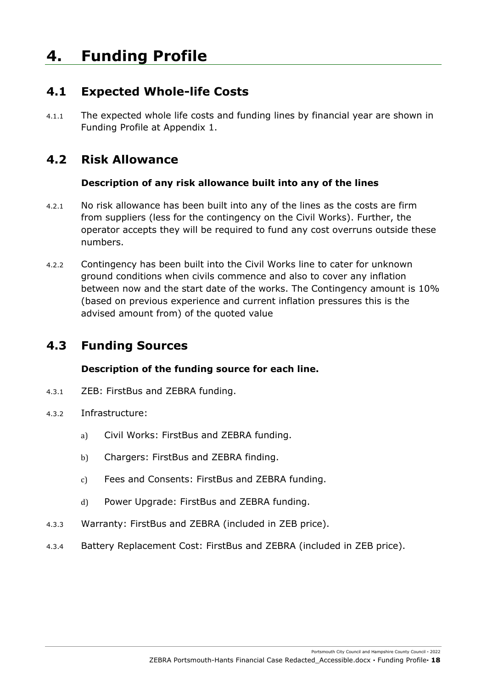# <span id="page-17-1"></span><span id="page-17-0"></span>**4. Funding Profile**

## **4.1 Expected Whole-life Costs**

4.1.1 The expected whole life costs and funding lines by financial year are shown in Funding Profile at Appendix 1.

# <span id="page-17-2"></span>**4.2 Risk Allowance**

#### **Description of any risk allowance built into any of the lines**

- 4.2.1 No risk allowance has been built into any of the lines as the costs are firm from suppliers (less for the contingency on the Civil Works). Further, the operator accepts they will be required to fund any cost overruns outside these numbers.
- 4.2.2 Contingency has been built into the Civil Works line to cater for unknown ground conditions when civils commence and also to cover any inflation between now and the start date of the works. The Contingency amount is 10% (based on previous experience and current inflation pressures this is the advised amount from) of the quoted value

# <span id="page-17-3"></span>**4.3 Funding Sources**

#### **Description of the funding source for each line.**

- 4.3.1 ZEB: FirstBus and ZEBRA funding.
- 4.3.2 Infrastructure:
	- a) Civil Works: FirstBus and ZEBRA funding.
	- b) Chargers: FirstBus and ZEBRA finding.
	- c) Fees and Consents: FirstBus and ZEBRA funding.
	- d) Power Upgrade: FirstBus and ZEBRA funding.
- 4.3.3 Warranty: FirstBus and ZEBRA (included in ZEB price).
- 4.3.4 Battery Replacement Cost: FirstBus and ZEBRA (included in ZEB price).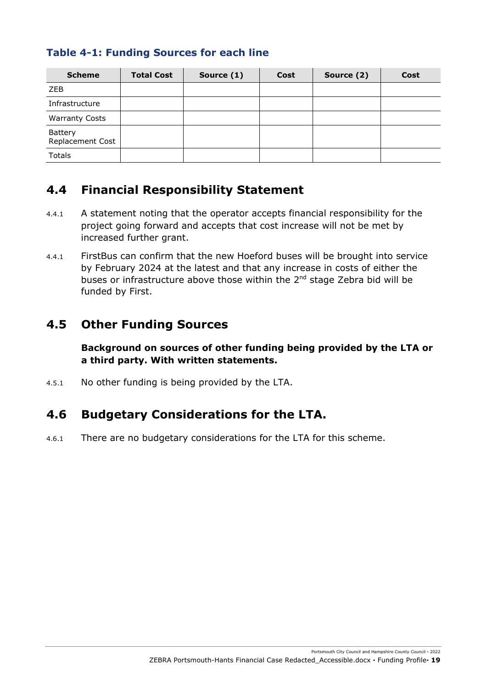#### **Table 4-1: Funding Sources for each line**

| <b>Scheme</b>               | <b>Total Cost</b> | Source (1) | Cost | Source (2) | Cost |
|-----------------------------|-------------------|------------|------|------------|------|
| <b>ZEB</b>                  |                   |            |      |            |      |
| Infrastructure              |                   |            |      |            |      |
| <b>Warranty Costs</b>       |                   |            |      |            |      |
| Battery<br>Replacement Cost |                   |            |      |            |      |
| <b>Totals</b>               |                   |            |      |            |      |

### <span id="page-18-0"></span>**4.4 Financial Responsibility Statement**

- 4.4.1 A statement noting that the operator accepts financial responsibility for the project going forward and accepts that cost increase will not be met by increased further grant.
- 4.4.1 FirstBus can confirm that the new Hoeford buses will be brought into service by February 2024 at the latest and that any increase in costs of either the buses or infrastructure above those within the 2<sup>nd</sup> stage Zebra bid will be funded by First.

## <span id="page-18-1"></span>**4.5 Other Funding Sources**

**Background on sources of other funding being provided by the LTA or a third party. With written statements.** 

<span id="page-18-2"></span>4.5.1 No other funding is being provided by the LTA.

## **4.6 Budgetary Considerations for the LTA.**

4.6.1 There are no budgetary considerations for the LTA for this scheme.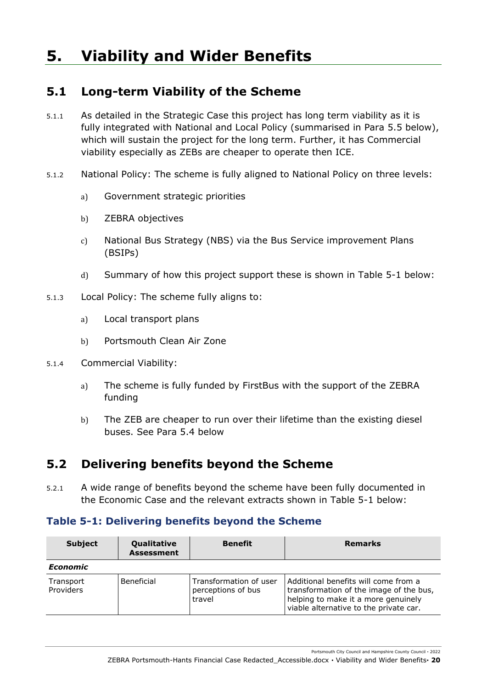# <span id="page-19-1"></span><span id="page-19-0"></span>**5. Viability and Wider Benefits**

## **5.1 Long-term Viability of the Scheme**

- 5.1.1 As detailed in the Strategic Case this project has long term viability as it is fully integrated with National and Local Policy (summarised in Para 5.5 below), which will sustain the project for the long term. Further, it has Commercial viability especially as ZEBs are cheaper to operate then ICE.
- 5.1.2 National Policy: The scheme is fully aligned to National Policy on three levels:
	- a) Government strategic priorities
	- b) ZEBRA objectives
	- c) National Bus Strategy (NBS) via the Bus Service improvement Plans (BSIPs)
	- d) Summary of how this project support these is shown in Table 5-1 below:
- 5.1.3 Local Policy: The scheme fully aligns to:
	- a) Local transport plans
	- b) Portsmouth Clean Air Zone
- 5.1.4 Commercial Viability:
	- a) The scheme is fully funded by FirstBus with the support of the ZEBRA funding
	- b) The ZEB are cheaper to run over their lifetime than the existing diesel buses. See Para 5.4 below

## <span id="page-19-2"></span>**5.2 Delivering benefits beyond the Scheme**

5.2.1 A wide range of benefits beyond the scheme have been fully documented in the Economic Case and the relevant extracts shown in Table 5-1 below:

#### **Table 5-1: Delivering benefits beyond the Scheme**

| <b>Subject</b>         | Qualitative<br><b>Assessment</b> | <b>Benefit</b>                                         | <b>Remarks</b>                                                                                                                                                   |
|------------------------|----------------------------------|--------------------------------------------------------|------------------------------------------------------------------------------------------------------------------------------------------------------------------|
| <b>Economic</b>        |                                  |                                                        |                                                                                                                                                                  |
| Transport<br>Providers | Beneficial                       | Transformation of user<br>perceptions of bus<br>travel | Additional benefits will come from a<br>transformation of the image of the bus,<br>helping to make it a more genuinely<br>viable alternative to the private car. |

Portsmouth City Council and Hampshire County Council **·** 2022

ZEBRA Portsmouth-Hants Financial Case Redacted\_Accessible.docx **·** Viability and Wider Benefits**· 20**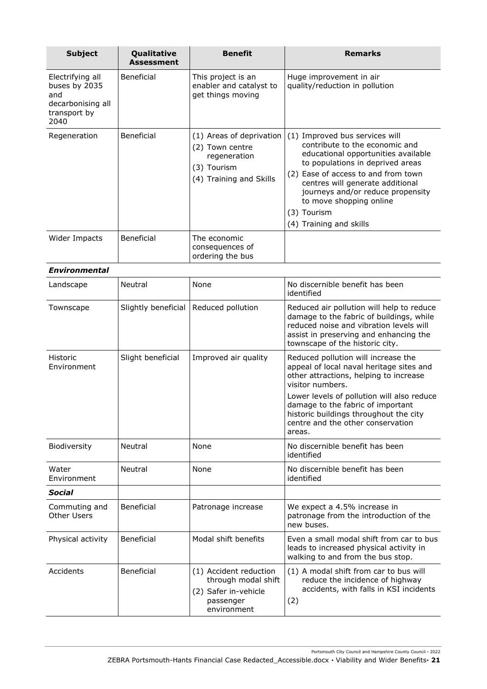| <b>Subject</b>                                                                        | Qualitative<br><b>Assessment</b> | <b>Benefit</b>                                                                                        | <b>Remarks</b>                                                                                                                                                                                                                                                                                                                   |
|---------------------------------------------------------------------------------------|----------------------------------|-------------------------------------------------------------------------------------------------------|----------------------------------------------------------------------------------------------------------------------------------------------------------------------------------------------------------------------------------------------------------------------------------------------------------------------------------|
| Electrifying all<br>buses by 2035<br>and<br>decarbonising all<br>transport by<br>2040 | Beneficial                       | This project is an<br>enabler and catalyst to<br>get things moving                                    | Huge improvement in air<br>quality/reduction in pollution                                                                                                                                                                                                                                                                        |
| Regeneration                                                                          | Beneficial                       | (1) Areas of deprivation<br>(2) Town centre<br>regeneration<br>(3) Tourism<br>(4) Training and Skills | (1) Improved bus services will<br>contribute to the economic and<br>educational opportunities available<br>to populations in deprived areas<br>(2) Ease of access to and from town<br>centres will generate additional<br>journeys and/or reduce propensity<br>to move shopping online<br>(3) Tourism<br>(4) Training and skills |
| Wider Impacts                                                                         | Beneficial                       | The economic<br>consequences of<br>ordering the bus                                                   |                                                                                                                                                                                                                                                                                                                                  |
| <b>Environmental</b>                                                                  |                                  |                                                                                                       |                                                                                                                                                                                                                                                                                                                                  |
| Landscape                                                                             | Neutral                          | None                                                                                                  | No discernible benefit has been<br>identified                                                                                                                                                                                                                                                                                    |
| Townscape                                                                             | Slightly beneficial              | Reduced pollution                                                                                     | Reduced air pollution will help to reduce<br>damage to the fabric of buildings, while<br>reduced noise and vibration levels will<br>assist in preserving and enhancing the<br>townscape of the historic city.                                                                                                                    |
| <b>Historic</b><br>Environment                                                        | Slight beneficial                | Improved air quality                                                                                  | Reduced pollution will increase the<br>appeal of local naval heritage sites and<br>other attractions, helping to increase<br>visitor numbers.<br>Lower levels of pollution will also reduce<br>damage to the fabric of important<br>historic buildings throughout the city<br>centre and the other conservation<br>areas.        |
| Biodiversity                                                                          | Neutral                          | None                                                                                                  | No discernible benefit has been<br>identified                                                                                                                                                                                                                                                                                    |
| Water<br>Environment                                                                  | Neutral                          | None                                                                                                  | No discernible benefit has been<br>identified                                                                                                                                                                                                                                                                                    |
| Social                                                                                |                                  |                                                                                                       |                                                                                                                                                                                                                                                                                                                                  |
| Commuting and<br><b>Other Users</b>                                                   | Beneficial                       | Patronage increase                                                                                    | We expect a 4.5% increase in<br>patronage from the introduction of the<br>new buses.                                                                                                                                                                                                                                             |
| Physical activity                                                                     | Beneficial                       | Modal shift benefits                                                                                  | Even a small modal shift from car to bus<br>leads to increased physical activity in<br>walking to and from the bus stop.                                                                                                                                                                                                         |
| Accidents                                                                             | Beneficial                       | (1) Accident reduction<br>through modal shift<br>(2) Safer in-vehicle<br>passenger<br>environment     | (1) A modal shift from car to bus will<br>reduce the incidence of highway<br>accidents, with falls in KSI incidents<br>(2)                                                                                                                                                                                                       |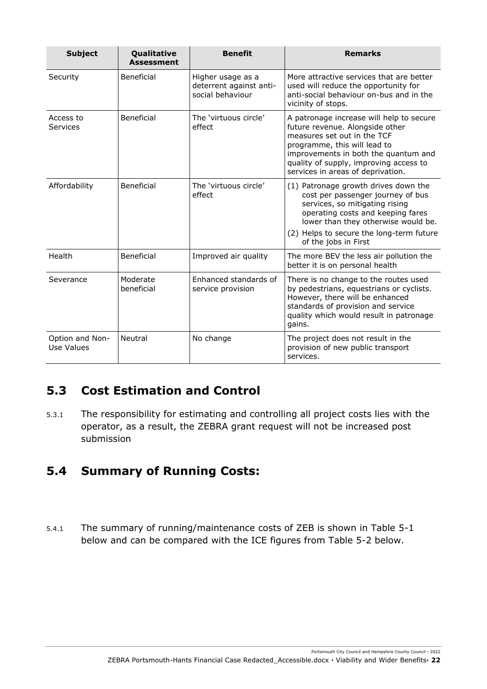| <b>Subject</b>                | Qualitative<br><b>Assessment</b> | <b>Benefit</b>                                                   | <b>Remarks</b>                                                                                                                                                                                                                                                    |
|-------------------------------|----------------------------------|------------------------------------------------------------------|-------------------------------------------------------------------------------------------------------------------------------------------------------------------------------------------------------------------------------------------------------------------|
| Security                      | Beneficial                       | Higher usage as a<br>deterrent against anti-<br>social behaviour | More attractive services that are better<br>used will reduce the opportunity for<br>anti-social behaviour on-bus and in the<br>vicinity of stops.                                                                                                                 |
| Access to<br>Services         | Beneficial                       | The 'virtuous circle'<br>effect                                  | A patronage increase will help to secure<br>future revenue. Alongside other<br>measures set out in the TCF<br>programme, this will lead to<br>improvements in both the quantum and<br>quality of supply, improving access to<br>services in areas of deprivation. |
| Affordability                 | Beneficial                       | The 'virtuous circle'<br>effect                                  | (1) Patronage growth drives down the<br>cost per passenger journey of bus<br>services, so mitigating rising<br>operating costs and keeping fares<br>lower than they otherwise would be.<br>(2) Helps to secure the long-term future                               |
|                               |                                  |                                                                  | of the jobs in First                                                                                                                                                                                                                                              |
| Health                        | Beneficial                       | Improved air quality                                             | The more BEV the less air pollution the<br>better it is on personal health                                                                                                                                                                                        |
| Severance                     | Moderate<br>beneficial           | Enhanced standards of<br>service provision                       | There is no change to the routes used<br>by pedestrians, equestrians or cyclists.<br>However, there will be enhanced<br>standards of provision and service<br>quality which would result in patronage<br>gains.                                                   |
| Option and Non-<br>Use Values | Neutral                          | No change                                                        | The project does not result in the<br>provision of new public transport<br>services.                                                                                                                                                                              |

# <span id="page-21-0"></span>**5.3 Cost Estimation and Control**

5.3.1 The responsibility for estimating and controlling all project costs lies with the operator, as a result, the ZEBRA grant request will not be increased post submission

# <span id="page-21-1"></span>**5.4 Summary of Running Costs:**

5.4.1 The summary of running/maintenance costs of ZEB is shown in Table 5-1 below and can be compared with the ICE figures from Table 5-2 below.

Portsmouth City Council and Hampshire County Council **·** 2022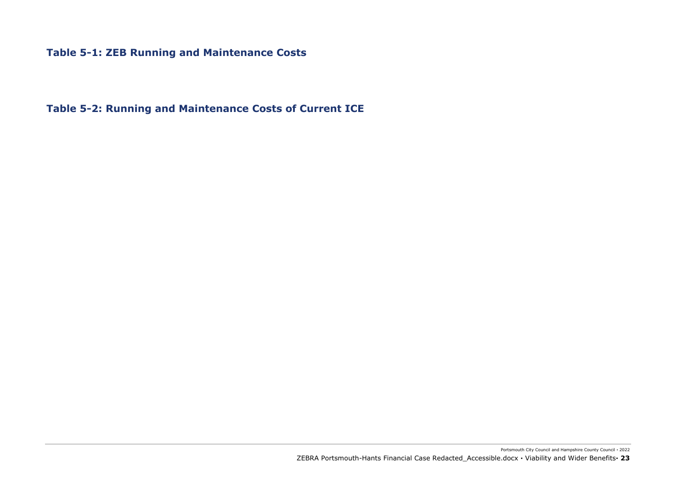#### **Table 5-1: ZEB Running and Maintenance Costs**

**Table 5-2: Running and Maintenance Costs of Current ICE**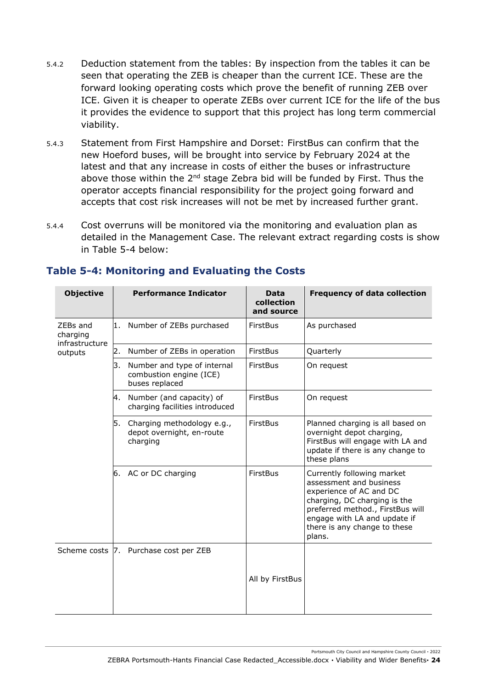- 5.4.2 Deduction statement from the tables: By inspection from the tables it can be seen that operating the ZEB is cheaper than the current ICE. These are the forward looking operating costs which prove the benefit of running ZEB over ICE. Given it is cheaper to operate ZEBs over current ICE for the life of the bus it provides the evidence to support that this project has long term commercial viability.
- 5.4.3 Statement from First Hampshire and Dorset: FirstBus can confirm that the new Hoeford buses, will be brought into service by February 2024 at the latest and that any increase in costs of either the buses or infrastructure above those within the 2<sup>nd</sup> stage Zebra bid will be funded by First. Thus the operator accepts financial responsibility for the project going forward and accepts that cost risk increases will not be met by increased further grant.
- 5.4.4 Cost overruns will be monitored via the monitoring and evaluation plan as detailed in the Management Case. The relevant extract regarding costs is show in Table 5-4 below:

| <b>Objective</b>                       |    | <b>Performance Indicator</b>                                             | <b>Data</b><br>collection<br>and source | <b>Frequency of data collection</b>                                                                                                                                                                                            |
|----------------------------------------|----|--------------------------------------------------------------------------|-----------------------------------------|--------------------------------------------------------------------------------------------------------------------------------------------------------------------------------------------------------------------------------|
| ZEBs and<br>charging<br>infrastructure | 1. | Number of ZEBs purchased                                                 | <b>FirstBus</b>                         | As purchased                                                                                                                                                                                                                   |
| outputs                                | 2. | Number of ZEBs in operation                                              | FirstBus                                | Quarterly                                                                                                                                                                                                                      |
|                                        | 3. | Number and type of internal<br>combustion engine (ICE)<br>buses replaced | <b>FirstBus</b>                         | On request                                                                                                                                                                                                                     |
|                                        | 4. | Number (and capacity) of<br>charging facilities introduced               | <b>FirstBus</b>                         | On request                                                                                                                                                                                                                     |
|                                        | 5. | Charging methodology e.g.,<br>depot overnight, en-route<br>charging      | <b>FirstBus</b>                         | Planned charging is all based on<br>overnight depot charging,<br>FirstBus will engage with LA and<br>update if there is any change to<br>these plans                                                                           |
|                                        |    | 6. AC or DC charging                                                     | <b>FirstBus</b>                         | Currently following market<br>assessment and business<br>experience of AC and DC<br>charging, DC charging is the<br>preferred method., FirstBus will<br>engage with LA and update if<br>there is any change to these<br>plans. |
|                                        |    | Scheme costs 7. Purchase cost per ZEB                                    | All by FirstBus                         |                                                                                                                                                                                                                                |

#### **Table 5-4: Monitoring and Evaluating the Costs**

Portsmouth City Council and Hampshire County Council **·** 2022

ZEBRA Portsmouth-Hants Financial Case Redacted\_Accessible.docx **·** Viability and Wider Benefits**· 24**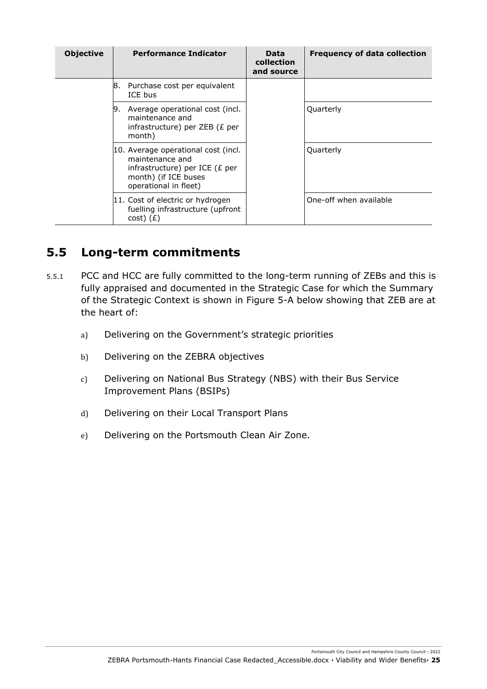| <b>Objective</b> |    | <b>Performance Indicator</b>                                                                                                                 | Data<br>collection<br>and source | <b>Frequency of data collection</b> |
|------------------|----|----------------------------------------------------------------------------------------------------------------------------------------------|----------------------------------|-------------------------------------|
|                  | 8. | Purchase cost per equivalent<br>ICE bus                                                                                                      |                                  |                                     |
|                  | 9. | Average operational cost (incl.<br>maintenance and<br>infrastructure) per ZEB ( $E$ per<br>month)                                            |                                  | Quarterly                           |
|                  |    | 10. Average operational cost (incl.<br>maintenance and<br>infrastructure) per ICE ( $E$ per<br>month) (if ICE buses<br>operational in fleet) |                                  | Quarterly                           |
|                  |    | 11. Cost of electric or hydrogen<br>fuelling infrastructure (upfront<br>$cost)$ ( $E$ )                                                      |                                  | One-off when available              |

## <span id="page-24-0"></span>**5.5 Long-term commitments**

- 5.5.1 PCC and HCC are fully committed to the long-term running of ZEBs and this is fully appraised and documented in the Strategic Case for which the Summary of the Strategic Context is shown in [Figure 5-A](#page-25-0) below showing that ZEB are at the heart of:
	- a) Delivering on the Government's strategic priorities
	- b) Delivering on the ZEBRA objectives
	- c) Delivering on National Bus Strategy (NBS) with their Bus Service Improvement Plans (BSIPs)
	- d) Delivering on their Local Transport Plans
	- e) Delivering on the Portsmouth Clean Air Zone.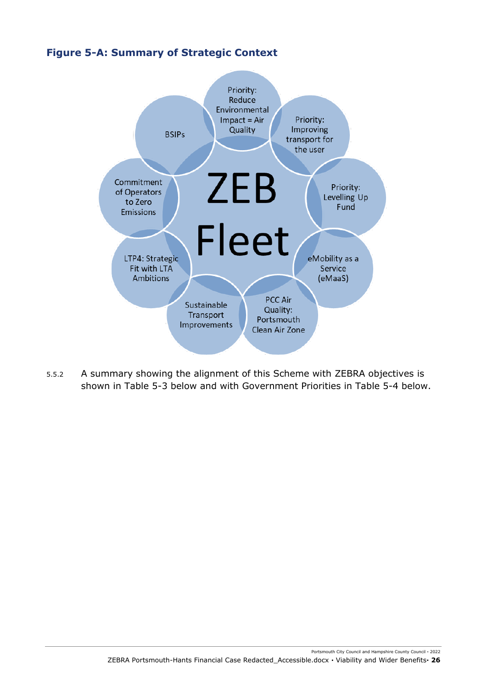#### <span id="page-25-0"></span>**Figure 5-A: Summary of Strategic Context**



5.5.2 A summary showing the alignment of this Scheme with ZEBRA objectives is shown in [Table 5-3](#page-26-0) below and with Government Priorities in [Table 5-4](#page-26-1) below.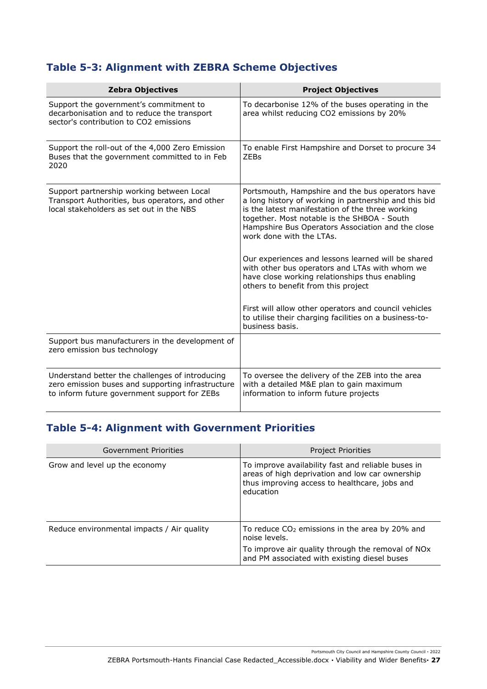# <span id="page-26-0"></span>**Table 5-3: Alignment with ZEBRA Scheme Objectives**

| <b>Zebra Objectives</b>                                                                                                                              | <b>Project Objectives</b>                                                                                                                                                                                                                                                                                                                                                                                                                                                                                                                                                                                                            |
|------------------------------------------------------------------------------------------------------------------------------------------------------|--------------------------------------------------------------------------------------------------------------------------------------------------------------------------------------------------------------------------------------------------------------------------------------------------------------------------------------------------------------------------------------------------------------------------------------------------------------------------------------------------------------------------------------------------------------------------------------------------------------------------------------|
| Support the government's commitment to<br>decarbonisation and to reduce the transport<br>sector's contribution to CO2 emissions                      | To decarbonise 12% of the buses operating in the<br>area whilst reducing CO2 emissions by 20%                                                                                                                                                                                                                                                                                                                                                                                                                                                                                                                                        |
| Support the roll-out of the 4,000 Zero Emission<br>Buses that the government committed to in Feb<br>2020                                             | To enable First Hampshire and Dorset to procure 34<br><b>ZEBs</b>                                                                                                                                                                                                                                                                                                                                                                                                                                                                                                                                                                    |
| Support partnership working between Local<br>Transport Authorities, bus operators, and other<br>local stakeholders as set out in the NBS             | Portsmouth, Hampshire and the bus operators have<br>a long history of working in partnership and this bid<br>is the latest manifestation of the three working<br>together. Most notable is the SHBOA - South<br>Hampshire Bus Operators Association and the close<br>work done with the LTAs.<br>Our experiences and lessons learned will be shared<br>with other bus operators and LTAs with whom we<br>have close working relationships thus enabling<br>others to benefit from this project<br>First will allow other operators and council vehicles<br>to utilise their charging facilities on a business-to-<br>business basis. |
| Support bus manufacturers in the development of<br>zero emission bus technology                                                                      |                                                                                                                                                                                                                                                                                                                                                                                                                                                                                                                                                                                                                                      |
| Understand better the challenges of introducing<br>zero emission buses and supporting infrastructure<br>to inform future government support for ZEBs | To oversee the delivery of the ZEB into the area<br>with a detailed M&E plan to gain maximum<br>information to inform future projects                                                                                                                                                                                                                                                                                                                                                                                                                                                                                                |

# <span id="page-26-1"></span>**Table 5-4: Alignment with Government Priorities**

| Government Priorities                      | Project Priorities                                                                                                                                                  |
|--------------------------------------------|---------------------------------------------------------------------------------------------------------------------------------------------------------------------|
| Grow and level up the economy              | To improve availability fast and reliable buses in<br>areas of high deprivation and low car ownership<br>thus improving access to healthcare, jobs and<br>education |
| Reduce environmental impacts / Air quality | To reduce $CO2$ emissions in the area by 20% and<br>noise levels.                                                                                                   |
|                                            | To improve air quality through the removal of NOx<br>and PM associated with existing diesel buses                                                                   |

Portsmouth City Council and Hampshire County Council **·** 2022

ZEBRA Portsmouth-Hants Financial Case Redacted\_Accessible.docx **·** Viability and Wider Benefits**· 27**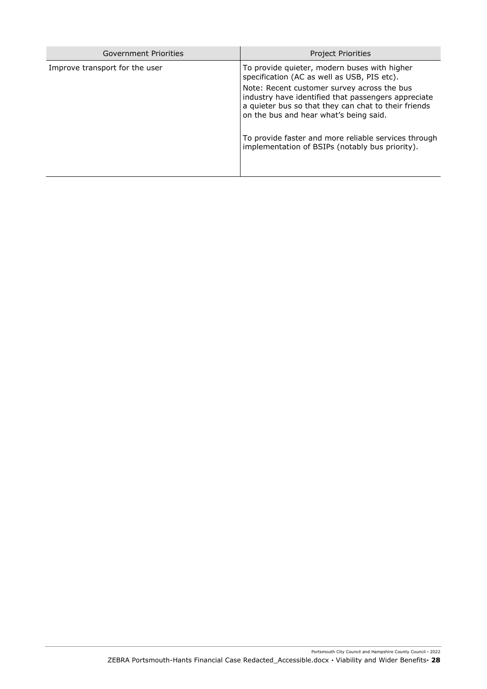| Government Priorities          | <b>Project Priorities</b>                                                                                                                                                                            |
|--------------------------------|------------------------------------------------------------------------------------------------------------------------------------------------------------------------------------------------------|
| Improve transport for the user | To provide quieter, modern buses with higher<br>specification (AC as well as USB, PIS etc).                                                                                                          |
|                                | Note: Recent customer survey across the bus<br>industry have identified that passengers appreciate<br>a quieter bus so that they can chat to their friends<br>on the bus and hear what's being said. |
|                                | To provide faster and more reliable services through<br>implementation of BSIPs (notably bus priority).                                                                                              |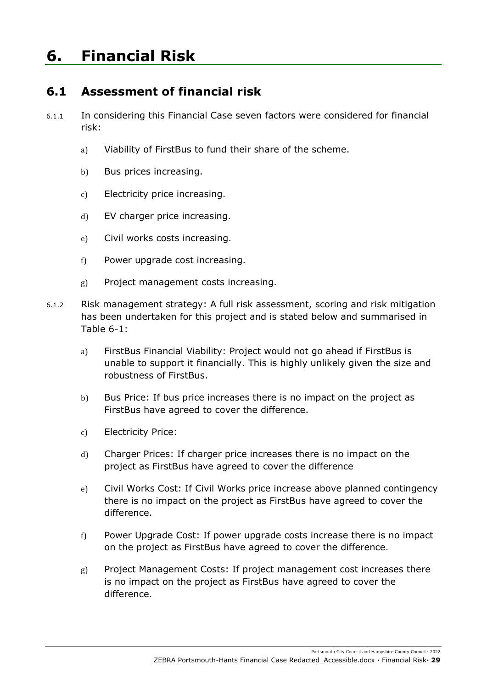# <span id="page-28-1"></span><span id="page-28-0"></span>**6. Financial Risk**

# **6.1 Assessment of financial risk**

- 6.1.1 In considering this Financial Case seven factors were considered for financial risk:
	- a) Viability of FirstBus to fund their share of the scheme.
	- b) Bus prices increasing.
	- c) Electricity price increasing.
	- d) EV charger price increasing.
	- e) Civil works costs increasing.
	- f) Power upgrade cost increasing.
	- g) Project management costs increasing.
- 6.1.2 Risk management strategy: A full risk assessment, scoring and risk mitigation has been undertaken for this project and is stated below and summarised in Table 6-1:
	- a) FirstBus Financial Viability: Project would not go ahead if FirstBus is unable to support it financially. This is highly unlikely given the size and robustness of FirstBus.
	- b) Bus Price: If bus price increases there is no impact on the project as FirstBus have agreed to cover the difference.
	- c) Electricity Price:
	- d) Charger Prices: If charger price increases there is no impact on the project as FirstBus have agreed to cover the difference
	- e) Civil Works Cost: If Civil Works price increase above planned contingency there is no impact on the project as FirstBus have agreed to cover the difference.
	- f) Power Upgrade Cost: If power upgrade costs increase there is no impact on the project as FirstBus have agreed to cover the difference.
	- g) Project Management Costs: If project management cost increases there is no impact on the project as FirstBus have agreed to cover the difference.

Portsmouth City Council and Hampshire County Council **·** 2022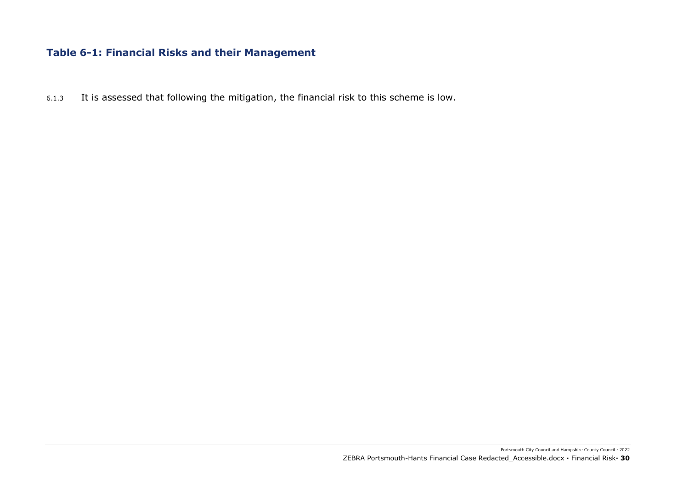#### **Table 6-1: Financial Risks and their Management**

6.1.3 It is assessed that following the mitigation, the financial risk to this scheme is low.